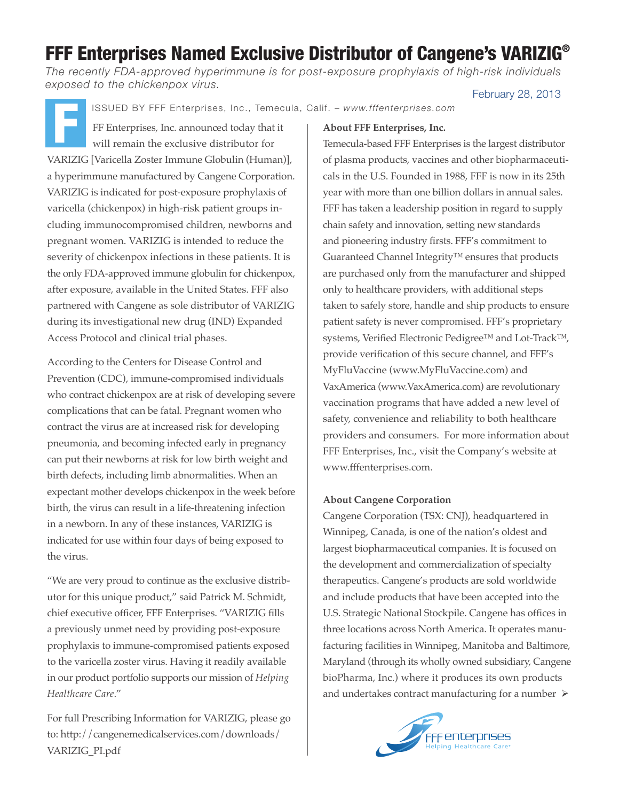# FFF Enterprises Named Exclusive Distributor of Cangene's VARIZIG®

*The recently FDA-approved hyperimmune is for post-exposure prophylaxis of high-risk individuals exposed to the chickenpox virus.*

February 28, 2013

ISSUED BY FFF Enterprises, Inc., Temecula, Calif. – *www.fffenterprises.com*

FF Enterprises, Inc. announced today that it will remain the exclusive distributor for VARIZIG [Varicella Zoster Immune Globulin (Human)], a hyperimmune manufactured by Cangene Corporation. VARIZIG is indicated for post-exposure prophylaxis of varicella (chickenpox) in high-risk patient groups including immunocompromised children, newborns and pregnant women. VARIZIG is intended to reduce the severity of chickenpox infections in these patients. It is the only FDA-approved immune globulin for chickenpox, after exposure, available in the United States. FFF also partnered with Cangene as sole distributor of VARIZIG during its investigational new drug (IND) Expanded Access Protocol and clinical trial phases. F

According to the Centers for Disease Control and Prevention (CDC), immune-compromised individuals who contract chickenpox are at risk of developing severe complications that can be fatal. Pregnant women who contract the virus are at increased risk for developing pneumonia, and becoming infected early in pregnancy can put their newborns at risk for low birth weight and birth defects, including limb abnormalities. When an expectant mother develops chickenpox in the week before birth, the virus can result in a life-threatening infection in a newborn. In any of these instances, VARIZIG is indicated for use within four days of being exposed to the virus.

"We are very proud to continue as the exclusive distributor for this unique product," said Patrick M. Schmidt, chief executive officer, FFF Enterprises. "VARIZIG fills a previously unmet need by providing post-exposure prophylaxis to immune-compromised patients exposed to the varicella zoster virus. Having it readily available in our product portfolio supports our mission of *Helping Healthcare Care*."

For full Prescribing Information for VARIZIG, please go to: http://cangenemedicalservices.com/downloads/ VARIZIG\_PI.pdf

#### **About FFF Enterprises, Inc.**

Temecula-based FFF Enterprises is the largest distributor of plasma products, vaccines and other biopharmaceuticals in the U.S. Founded in 1988, FFF is now in its 25th year with more than one billion dollars in annual sales. FFF has taken a leadership position in regard to supply chain safety and innovation, setting new standards and pioneering industry firsts. FFF's commitment to Guaranteed Channel Integrity™ ensures that products are purchased only from the manufacturer and shipped only to healthcare providers, with additional steps taken to safely store, handle and ship products to ensure patient safety is never compromised. FFF's proprietary systems, Verified Electronic Pedigree™ and Lot-Track™, provide verification of this secure channel, and FFF's MyFluVaccine (www.MyFluVaccine.com) and VaxAmerica (www.VaxAmerica.com) are revolutionary vaccination programs that have added a new level of safety, convenience and reliability to both healthcare providers and consumers. For more information about FFF Enterprises, Inc., visit the Company's website at www.fffenterprises.com.

#### **About Cangene Corporation**

Cangene Corporation (TSX: CNJ), headquartered in Winnipeg, Canada, is one of the nation's oldest and largest biopharmaceutical companies. It is focused on the development and commercialization of specialty therapeutics. Cangene's products are sold worldwide and include products that have been accepted into the U.S. Strategic National Stockpile. Cangene has offices in three locations across North America. It operates manufacturing facilities in Winnipeg, Manitoba and Baltimore, Maryland (through its wholly owned subsidiary, Cangene bioPharma, Inc.) where it produces its own products and undertakes contract manufacturing for a number  $\triangleright$